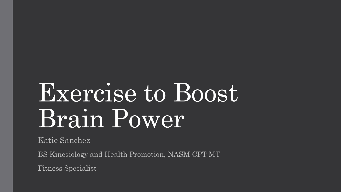# Exercise to Boost Brain Power

Katie Sanchez

BS Kinesiology and Health Promotion, NASM CPT MT

Fitness Specialist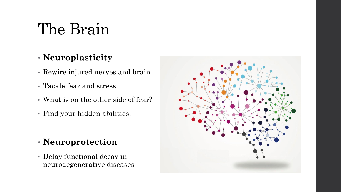### The Brain

#### • **Neuroplasticity**

- Rewire injured nerves and brain
- Tackle fear and stress
- What is on the other side of fear?
- Find your hidden abilities!

#### • **Neuroprotection**

• Delay functional decay in neurodegenerative diseases

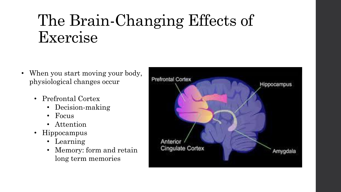### The Brain-Changing Effects of Exercise

- When you start moving your body, physiological changes occur
	- Prefrontal Cortex
		- Decision-making
		- Focus
		- Attention
	- Hippocampus
		- Learning
		- Memory: form and retain long term memories

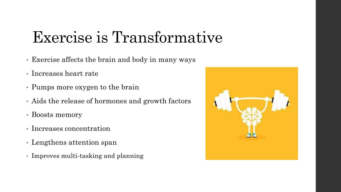# Exercise is Transformative

- Exercise affects the brain and body in many ways
- Increases heart rate
- Pumps more oxygen to the brain
- Aids the release of hormones and growth factors
- Boosts memory
- Increases concentration
- Lengthens attention span
- Improves multi-tasking and planning

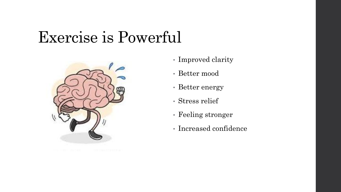#### Exercise is Powerful



- Improved clarity
- Better mood
- Better energy
- Stress relief
- Feeling stronger
- Increased confidence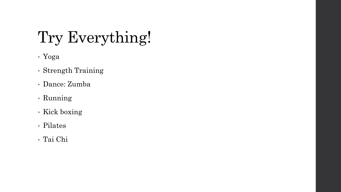# Try Everything!

- Yoga
- Strength Training
- Dance: Zumba
- Running
- Kick boxing
- Pilates
- Tai Chi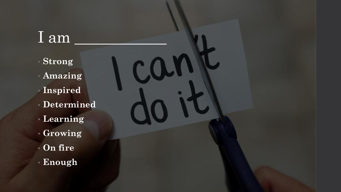#### $\boxed{\text{I am}}$

- **Strong** • **Amazing** • **Inspired** • **Determined** • **Learning**
- **Growing**
- **On fire**
- **Enough**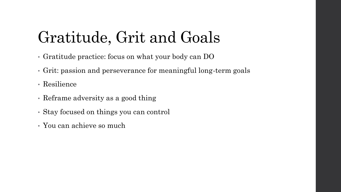# Gratitude, Grit and Goals

- Gratitude practice: focus on what your body can DO
- Grit: passion and perseverance for meaningful long-term goals
- Resilience
- Reframe adversity as a good thing
- Stay focused on things you can control
- You can achieve so much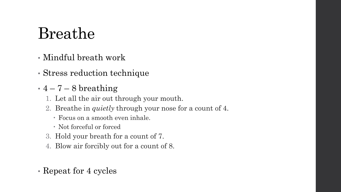### Breathe

- Mindful breath work
- Stress reduction technique
- $\cdot$  4 7 8 breathing
	- 1. Let all the air out through your mouth.
	- 2. Breathe in *quietly* through your nose for a count of 4.
		- Focus on a smooth even inhale.
		- Not forceful or forced
	- 3. Hold your breath for a count of 7.
	- 4. Blow air forcibly out for a count of 8.
- Repeat for 4 cycles